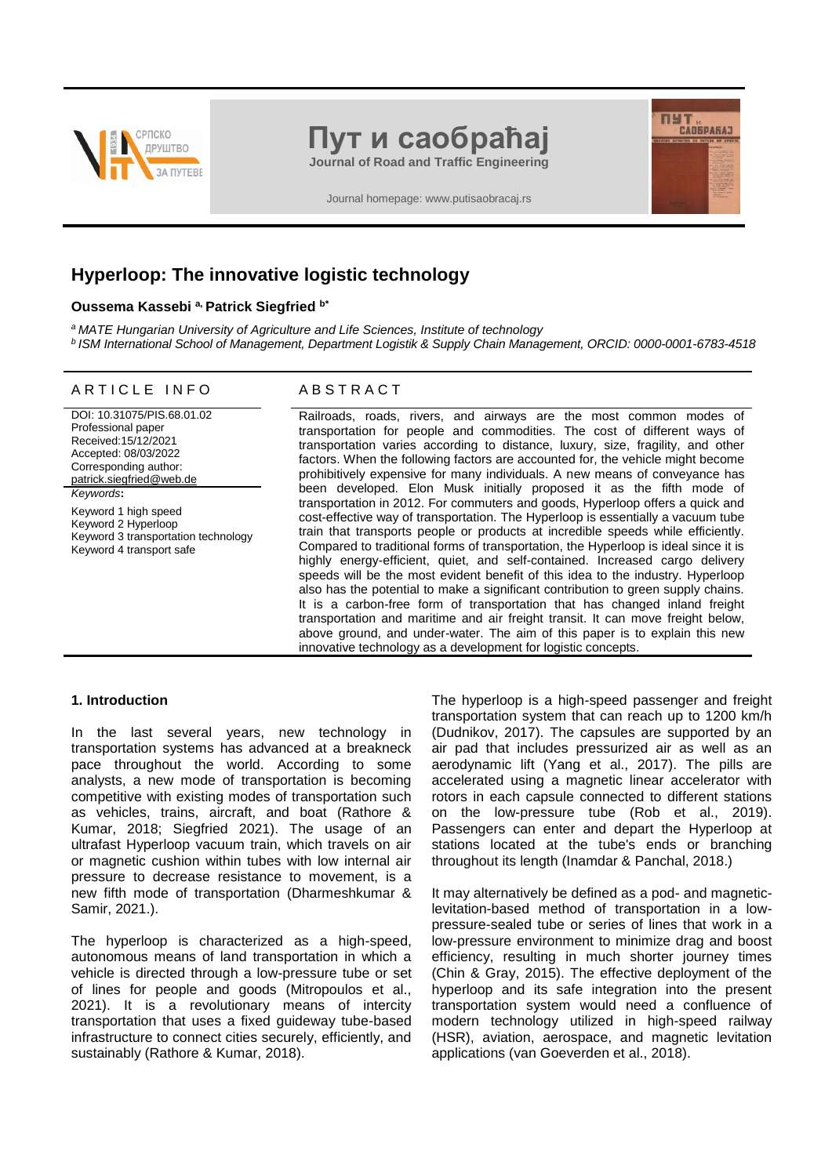

# **Пут и саобраћај**

**Journal of Road and Traffic Engineering**

Journal homepage: www.putisaobracaj.rs

# **Hyperloop: The innovative logistic technology**

#### **Oussema Kassebi a, Patrick Siegfried b\***

*<sup>a</sup>MATE Hungarian University of Agriculture and Life Sciences, Institute of technology*

*<sup>b</sup>ISM International School of Management, Department Logistik & Supply Chain Management, ORCID: [0000-0001-6783-4518](mailto:0000-0001-6783-4518)*

## ARTICLE INFO ABSTRACT

DOI: 10.31075/PIS.68.01.02 Professional paper Received:15/12/2021 Accepted: 08/03/2022 Corresponding author: [patrick.siegfried@web.de](mailto:patrick.siegfried@web.de) *Keywords***:** Keyword 1 high speed Keyword 2 Hyperloop Keyword 3 transportation technology Keyword 4 transport safe

Railroads, roads, rivers, and airways are the most common modes of transportation for people and commodities. The cost of different ways of transportation varies according to distance, luxury, size, fragility, and other factors. When the following factors are accounted for, the vehicle might become prohibitively expensive for many individuals. A new means of conveyance has been developed. Elon Musk initially proposed it as the fifth mode of transportation in 2012. For commuters and goods, Hyperloop offers a quick and cost-effective way of transportation. The Hyperloop is essentially a vacuum tube train that transports people or products at incredible speeds while efficiently. Compared to traditional forms of transportation, the Hyperloop is ideal since it is highly energy-efficient, quiet, and self-contained. Increased cargo delivery speeds will be the most evident benefit of this idea to the industry. Hyperloop also has the potential to make a significant contribution to green supply chains. It is a carbon-free form of transportation that has changed inland freight transportation and maritime and air freight transit. It can move freight below, above ground, and under-water. The aim of this paper is to explain this new innovative technology as a development for logistic concepts.

#### **1. Introduction**

In the last several years, new technology in transportation systems has advanced at a breakneck pace throughout the world. According to some analysts, a new mode of transportation is becoming competitive with existing modes of transportation such as vehicles, trains, aircraft, and boat (Rathore & Kumar, 2018; Siegfried 2021). The usage of an ultrafast Hyperloop vacuum train, which travels on air or magnetic cushion within tubes with low internal air pressure to decrease resistance to movement, is a new fifth mode of transportation (Dharmeshkumar & Samir, 2021.).

The hyperloop is characterized as a high-speed, autonomous means of land transportation in which a vehicle is directed through a low-pressure tube or set of lines for people and goods (Mitropoulos et al., 2021). It is a revolutionary means of intercity transportation that uses a fixed guideway tube-based infrastructure to connect cities securely, efficiently, and sustainably (Rathore & Kumar, 2018).

The hyperloop is a high-speed passenger and freight transportation system that can reach up to 1200 km/h (Dudnikov, 2017). The capsules are supported by an air pad that includes pressurized air as well as an aerodynamic lift (Yang et al., 2017). The pills are accelerated using a magnetic linear accelerator with rotors in each capsule connected to different stations on the low-pressure tube (Rob et al., 2019). Passengers can enter and depart the Hyperloop at stations located at the tube's ends or branching throughout its length (Inamdar & Panchal, 2018.)

ПУТ "

It may alternatively be defined as a pod- and magneticlevitation-based method of transportation in a lowpressure-sealed tube or series of lines that work in a low-pressure environment to minimize drag and boost efficiency, resulting in much shorter journey times (Chin & Gray, 2015). The effective deployment of the hyperloop and its safe integration into the present transportation system would need a confluence of modern technology utilized in high-speed railway (HSR), aviation, aerospace, and magnetic levitation applications (van Goeverden et al., 2018).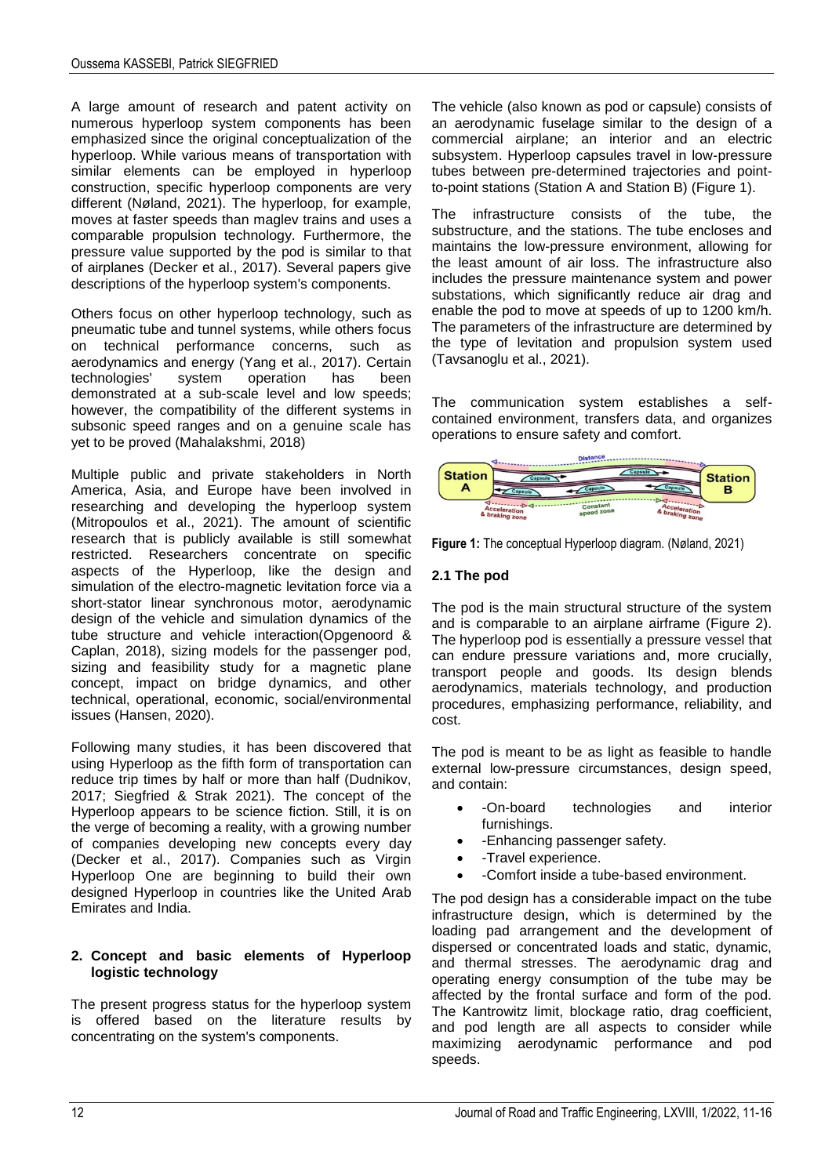A large amount of research and patent activity on numerous hyperloop system components has been emphasized since the original conceptualization of the hyperloop. While various means of transportation with similar elements can be employed in hyperloop construction, specific hyperloop components are very different (Nøland, 2021). The hyperloop, for example, moves at faster speeds than maglev trains and uses a comparable propulsion technology. Furthermore, the pressure value supported by the pod is similar to that of airplanes (Decker et al., 2017). Several papers give descriptions of the hyperloop system's components.

Others focus on other hyperloop technology, such as pneumatic tube and tunnel systems, while others focus on technical performance concerns, such as aerodynamics and energy (Yang et al., 2017). Certain technologies' system operation has been demonstrated at a sub-scale level and low speeds; however, the compatibility of the different systems in subsonic speed ranges and on a genuine scale has yet to be proved (Mahalakshmi, 2018)

Multiple public and private stakeholders in North America, Asia, and Europe have been involved in researching and developing the hyperloop system (Mitropoulos et al., 2021). The amount of scientific research that is publicly available is still somewhat restricted. Researchers concentrate on specific aspects of the Hyperloop, like the design and simulation of the electro-magnetic levitation force via a short-stator linear synchronous motor, aerodynamic design of the vehicle and simulation dynamics of the tube structure and vehicle interaction(Opgenoord & Caplan, 2018), sizing models for the passenger pod, sizing and feasibility study for a magnetic plane concept, impact on bridge dynamics, and other technical, operational, economic, social/environmental issues (Hansen, 2020).

Following many studies, it has been discovered that using Hyperloop as the fifth form of transportation can reduce trip times by half or more than half (Dudnikov, 2017; Siegfried & Strak 2021). The concept of the Hyperloop appears to be science fiction. Still, it is on the verge of becoming a reality, with a growing number of companies developing new concepts every day (Decker et al., 2017). Companies such as Virgin Hyperloop One are beginning to build their own designed Hyperloop in countries like the United Arab Emirates and India.

#### **2. Concept and basic elements of Hyperloop logistic technology**

The present progress status for the hyperloop system is offered based on the literature results by concentrating on the system's components.

The vehicle (also known as pod or capsule) consists of an aerodynamic fuselage similar to the design of a commercial airplane; an interior and an electric subsystem. Hyperloop capsules travel in low-pressure tubes between pre-determined trajectories and pointto-point stations (Station A and Station B) (Figure 1).

The infrastructure consists of the tube, the substructure, and the stations. The tube encloses and maintains the low-pressure environment, allowing for the least amount of air loss. The infrastructure also includes the pressure maintenance system and power substations, which significantly reduce air drag and enable the pod to move at speeds of up to 1200 km/h. The parameters of the infrastructure are determined by the type of levitation and propulsion system used (Tavsanoglu et al., 2021).

The communication system establishes a selfcontained environment, transfers data, and organizes operations to ensure safety and comfort.



**Figure 1:** The conceptual Hyperloop diagram. (Nøland, 2021)

# **2.1 The pod**

The pod is the main structural structure of the system and is comparable to an airplane airframe (Figure 2). The hyperloop pod is essentially a pressure vessel that can endure pressure variations and, more crucially, transport people and goods. Its design blends aerodynamics, materials technology, and production procedures, emphasizing performance, reliability, and cost.

The pod is meant to be as light as feasible to handle external low-pressure circumstances, design speed, and contain:

- -On-board technologies and interior furnishings.
- - Enhancing passenger safety.
- -Travel experience.
- -Comfort inside a tube-based environment.

The pod design has a considerable impact on the tube infrastructure design, which is determined by the loading pad arrangement and the development of dispersed or concentrated loads and static, dynamic, and thermal stresses. The aerodynamic drag and operating energy consumption of the tube may be affected by the frontal surface and form of the pod. The Kantrowitz limit, blockage ratio, drag coefficient, and pod length are all aspects to consider while maximizing aerodynamic performance and pod speeds.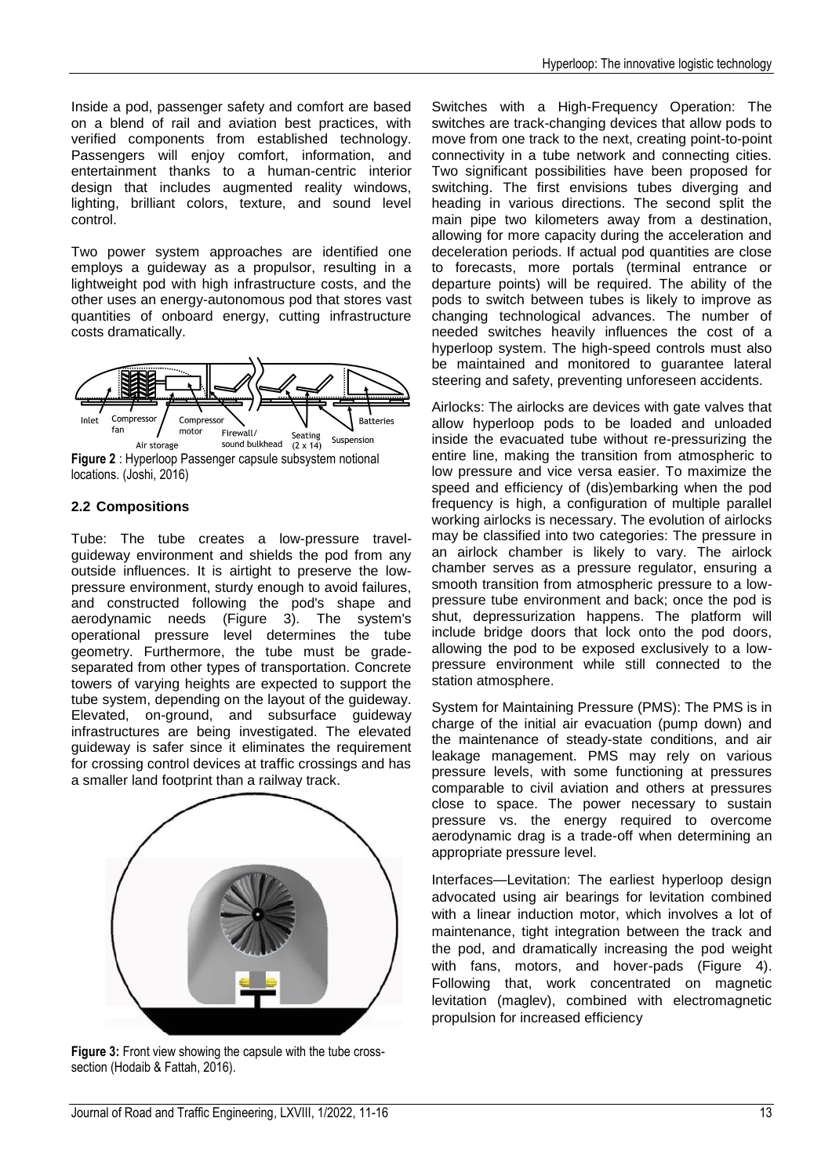Inside a pod, passenger safety and comfort are based on a blend of rail and aviation best practices, with verified components from established technology. Passengers will enjoy comfort, information, and entertainment thanks to a human-centric interior design that includes augmented reality windows, lighting, brilliant colors, texture, and sound level control.

Two power system approaches are identified one employs a guideway as a propulsor, resulting in a lightweight pod with high infrastructure costs, and the other uses an energy-autonomous pod that stores vast quantities of onboard energy, cutting infrastructure costs dramatically.



# locations. (Joshi, 2016)

# **2.2 Compositions**

Tube: The tube creates a low-pressure travelguideway environment and shields the pod from any outside influences. It is airtight to preserve the lowpressure environment, sturdy enough to avoid failures, and constructed following the pod's shape and aerodynamic needs (Figure 3). The system's operational pressure level determines the tube geometry. Furthermore, the tube must be gradeseparated from other types of transportation. Concrete towers of varying heights are expected to support the tube system, depending on the layout of the guideway. Elevated, on-ground, and subsurface guideway infrastructures are being investigated. The elevated guideway is safer since it eliminates the requirement for crossing control devices at traffic crossings and has a smaller land footprint than a railway track.



**Figure 3:** Front view showing the capsule with the tube crosssection (Hodaib & Fattah, 2016).

Switches with a High-Frequency Operation: The switches are track-changing devices that allow pods to move from one track to the next, creating point-to-point connectivity in a tube network and connecting cities. Two significant possibilities have been proposed for switching. The first envisions tubes diverging and heading in various directions. The second split the main pipe two kilometers away from a destination, allowing for more capacity during the acceleration and deceleration periods. If actual pod quantities are close to forecasts, more portals (terminal entrance or departure points) will be required. The ability of the pods to switch between tubes is likely to improve as changing technological advances. The number of needed switches heavily influences the cost of a hyperloop system. The high-speed controls must also be maintained and monitored to guarantee lateral steering and safety, preventing unforeseen accidents.

Airlocks: The airlocks are devices with gate valves that allow hyperloop pods to be loaded and unloaded inside the evacuated tube without re-pressurizing the entire line, making the transition from atmospheric to low pressure and vice versa easier. To maximize the speed and efficiency of (dis)embarking when the pod frequency is high, a configuration of multiple parallel working airlocks is necessary. The evolution of airlocks may be classified into two categories: The pressure in an airlock chamber is likely to vary. The airlock chamber serves as a pressure regulator, ensuring a smooth transition from atmospheric pressure to a lowpressure tube environment and back; once the pod is shut, depressurization happens. The platform will include bridge doors that lock onto the pod doors, allowing the pod to be exposed exclusively to a lowpressure environment while still connected to the station atmosphere.

System for Maintaining Pressure (PMS): The PMS is in charge of the initial air evacuation (pump down) and the maintenance of steady-state conditions, and air leakage management. PMS may rely on various pressure levels, with some functioning at pressures comparable to civil aviation and others at pressures close to space. The power necessary to sustain pressure vs. the energy required to overcome aerodynamic drag is a trade-off when determining an appropriate pressure level.

Interfaces—Levitation: The earliest hyperloop design advocated using air bearings for levitation combined with a linear induction motor, which involves a lot of maintenance, tight integration between the track and the pod, and dramatically increasing the pod weight with fans, motors, and hover-pads (Figure 4). Following that, work concentrated on magnetic levitation (maglev), combined with electromagnetic propulsion for increased efficiency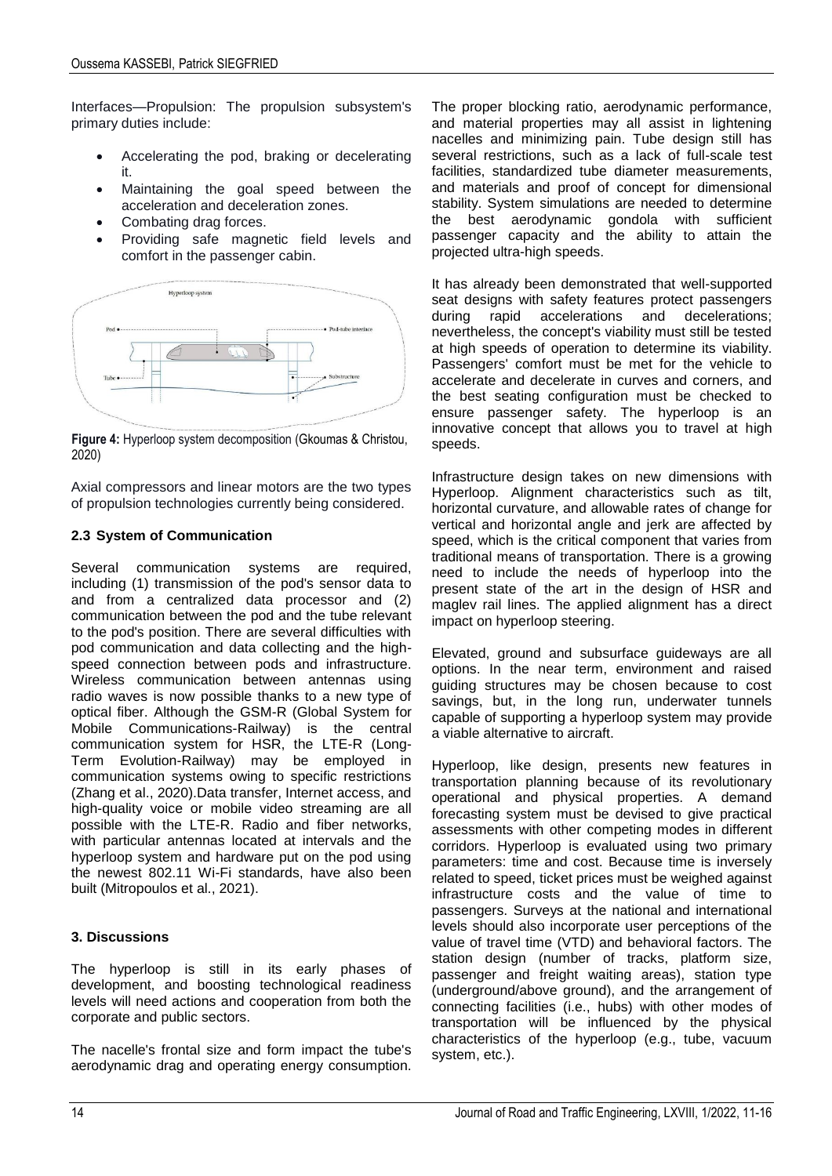Interfaces—Propulsion: The propulsion subsystem's primary duties include:

- Accelerating the pod, braking or decelerating it.
- Maintaining the goal speed between the acceleration and deceleration zones.
- Combating drag forces.
- Providing safe magnetic field levels and comfort in the passenger cabin.



**Figure 4:** Hyperloop system decomposition (Gkoumas & Christou, 2020)

Axial compressors and linear motors are the two types of propulsion technologies currently being considered.

# **2.3 System of Communication**

Several communication systems are required, including (1) transmission of the pod's sensor data to and from a centralized data processor and (2) communication between the pod and the tube relevant to the pod's position. There are several difficulties with pod communication and data collecting and the highspeed connection between pods and infrastructure. Wireless communication between antennas using radio waves is now possible thanks to a new type of optical fiber. Although the GSM-R (Global System for Mobile Communications-Railway) is the central communication system for HSR, the LTE-R (Long-Term Evolution-Railway) may be employed in communication systems owing to specific restrictions (Zhang et al., 2020).Data transfer, Internet access, and high-quality voice or mobile video streaming are all possible with the LTE-R. Radio and fiber networks, with particular antennas located at intervals and the hyperloop system and hardware put on the pod using the newest 802.11 Wi-Fi standards, have also been built (Mitropoulos et al., 2021).

# **3. Discussions**

The hyperloop is still in its early phases of development, and boosting technological readiness levels will need actions and cooperation from both the corporate and public sectors.

The nacelle's frontal size and form impact the tube's aerodynamic drag and operating energy consumption. The proper blocking ratio, aerodynamic performance, and material properties may all assist in lightening nacelles and minimizing pain. Tube design still has several restrictions, such as a lack of full-scale test facilities, standardized tube diameter measurements, and materials and proof of concept for dimensional stability. System simulations are needed to determine the best aerodynamic gondola with sufficient passenger capacity and the ability to attain the projected ultra-high speeds.

It has already been demonstrated that well-supported seat designs with safety features protect passengers<br>during rapid accelerations and decelerations; during rapid accelerations nevertheless, the concept's viability must still be tested at high speeds of operation to determine its viability. Passengers' comfort must be met for the vehicle to accelerate and decelerate in curves and corners, and the best seating configuration must be checked to ensure passenger safety. The hyperloop is an innovative concept that allows you to travel at high speeds.

Infrastructure design takes on new dimensions with Hyperloop. Alignment characteristics such as tilt, horizontal curvature, and allowable rates of change for vertical and horizontal angle and jerk are affected by speed, which is the critical component that varies from traditional means of transportation. There is a growing need to include the needs of hyperloop into the present state of the art in the design of HSR and maglev rail lines. The applied alignment has a direct impact on hyperloop steering.

Elevated, ground and subsurface guideways are all options. In the near term, environment and raised guiding structures may be chosen because to cost savings, but, in the long run, underwater tunnels capable of supporting a hyperloop system may provide a viable alternative to aircraft.

Hyperloop, like design, presents new features in transportation planning because of its revolutionary operational and physical properties. A demand forecasting system must be devised to give practical assessments with other competing modes in different corridors. Hyperloop is evaluated using two primary parameters: time and cost. Because time is inversely related to speed, ticket prices must be weighed against infrastructure costs and the value of time to passengers. Surveys at the national and international levels should also incorporate user perceptions of the value of travel time (VTD) and behavioral factors. The station design (number of tracks, platform size, passenger and freight waiting areas), station type (underground/above ground), and the arrangement of connecting facilities (i.e., hubs) with other modes of transportation will be influenced by the physical characteristics of the hyperloop (e.g., tube, vacuum system, etc.).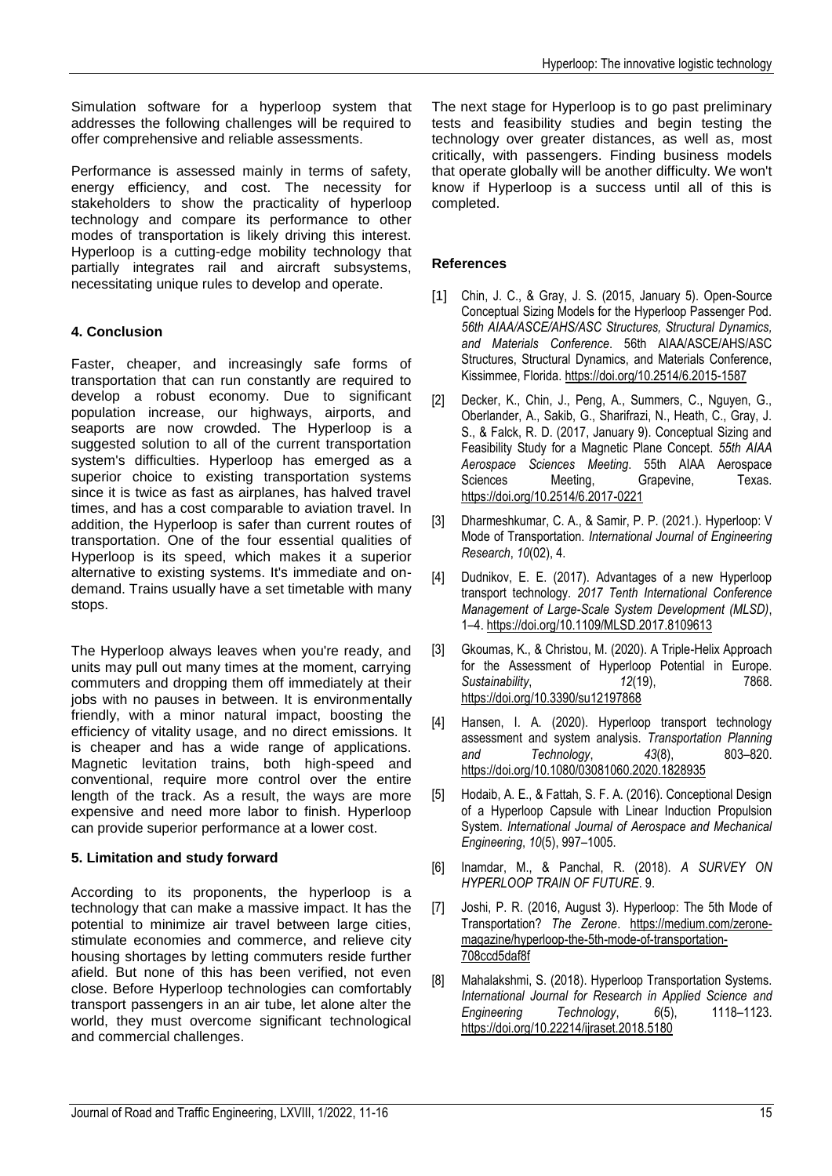Simulation software for a hyperloop system that addresses the following challenges will be required to offer comprehensive and reliable assessments.

Performance is assessed mainly in terms of safety, energy efficiency, and cost. The necessity for stakeholders to show the practicality of hyperloop technology and compare its performance to other modes of transportation is likely driving this interest. Hyperloop is a cutting-edge mobility technology that partially integrates rail and aircraft subsystems, necessitating unique rules to develop and operate.

# **4. Conclusion**

Faster, cheaper, and increasingly safe forms of transportation that can run constantly are required to develop a robust economy. Due to significant population increase, our highways, airports, and seaports are now crowded. The Hyperloop is a suggested solution to all of the current transportation system's difficulties. Hyperloop has emerged as a superior choice to existing transportation systems since it is twice as fast as airplanes, has halved travel times, and has a cost comparable to aviation travel. In addition, the Hyperloop is safer than current routes of transportation. One of the four essential qualities of Hyperloop is its speed, which makes it a superior alternative to existing systems. It's immediate and ondemand. Trains usually have a set timetable with many stops.

The Hyperloop always leaves when you're ready, and units may pull out many times at the moment, carrying commuters and dropping them off immediately at their jobs with no pauses in between. It is environmentally friendly, with a minor natural impact, boosting the efficiency of vitality usage, and no direct emissions. It is cheaper and has a wide range of applications. Magnetic levitation trains, both high-speed and conventional, require more control over the entire length of the track. As a result, the ways are more expensive and need more labor to finish. Hyperloop can provide superior performance at a lower cost.

#### **5. Limitation and study forward**

According to its proponents, the hyperloop is a technology that can make a massive impact. It has the potential to minimize air travel between large cities, stimulate economies and commerce, and relieve city housing shortages by letting commuters reside further afield. But none of this has been verified, not even close. Before Hyperloop technologies can comfortably transport passengers in an air tube, let alone alter the world, they must overcome significant technological and commercial challenges.

The next stage for Hyperloop is to go past preliminary tests and feasibility studies and begin testing the technology over greater distances, as well as, most critically, with passengers. Finding business models that operate globally will be another difficulty. We won't know if Hyperloop is a success until all of this is completed.

## **References**

- [1] Chin, J. C., & Gray, J. S. (2015, January 5). Open-Source Conceptual Sizing Models for the Hyperloop Passenger Pod. *56th AIAA/ASCE/AHS/ASC Structures, Structural Dynamics, and Materials Conference*. 56th AIAA/ASCE/AHS/ASC Structures, Structural Dynamics, and Materials Conference, Kissimmee, Florida[. https://doi.org/10.2514/6.2015-1587](https://doi.org/10.2514/6.2015-1587)
- [2] Decker, K., Chin, J., Peng, A., Summers, C., Nguyen, G., Oberlander, A., Sakib, G., Sharifrazi, N., Heath, C., Gray, J. S., & Falck, R. D. (2017, January 9). Conceptual Sizing and Feasibility Study for a Magnetic Plane Concept. *55th AIAA Aerospace Sciences Meeting*. 55th AIAA Aerospace Grapevine, <https://doi.org/10.2514/6.2017-0221>
- [3] Dharmeshkumar, C. A., & Samir, P. P. (2021.). Hyperloop: V Mode of Transportation. *International Journal of Engineering Research*, *10*(02), 4.
- [4] Dudnikov, E. E. (2017). Advantages of a new Hyperloop transport technology. *2017 Tenth International Conference Management of Large-Scale System Development (MLSD)*, 1–4[. https://doi.org/10.1109/MLSD.2017.8109613](https://doi.org/10.1109/MLSD.2017.8109613)
- [3] Gkoumas, K., & Christou, M. (2020). A Triple-Helix Approach for the Assessment of Hyperloop Potential in Europe. *Sustainability*, *12*(19), 7868. <https://doi.org/10.3390/su12197868>
- [4] Hansen, I. A. (2020). Hyperloop transport technology assessment and system analysis. *Transportation Planning and Technology*, *43*(8), 803–820. <https://doi.org/10.1080/03081060.2020.1828935>
- [5] Hodaib, A. E., & Fattah, S. F. A. (2016). Conceptional Design of a Hyperloop Capsule with Linear Induction Propulsion System. *International Journal of Aerospace and Mechanical Engineering*, *10*(5), 997–1005.
- [6] Inamdar, M., & Panchal, R. (2018). *A SURVEY ON HYPERLOOP TRAIN OF FUTURE*. 9.
- [7] Joshi, P. R. (2016, August 3). Hyperloop: The 5th Mode of Transportation? *The Zerone*. [https://medium.com/zerone](https://medium.com/zerone-magazine/hyperloop-the-5th-mode-of-transportation-708ccd5daf8f)[magazine/hyperloop-the-5th-mode-of-transportation-](https://medium.com/zerone-magazine/hyperloop-the-5th-mode-of-transportation-708ccd5daf8f)[708ccd5daf8f](https://medium.com/zerone-magazine/hyperloop-the-5th-mode-of-transportation-708ccd5daf8f)
- [8] Mahalakshmi, S. (2018). Hyperloop Transportation Systems. *International Journal for Research in Applied Science and Engineering Technology*, *6*(5), 1118–1123. <https://doi.org/10.22214/ijraset.2018.5180>